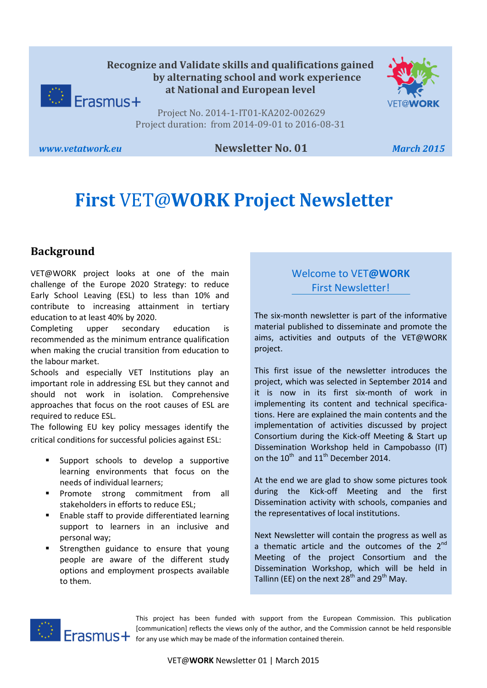



Project No. 2014-1-IT01-KA202-002629 Project duration: from 2014-09-01 to 2016-08-31

#### *www.vetatwork.eu* **Newsletter No. 01** *March 2015*

# **First** VET@**WORK Project Newsletter**

## **Background**

VET@WORK project looks at one of the main challenge of the Europe 2020 Strategy: to reduce Early School Leaving (ESL) to less than 10% and contribute to increasing attainment in tertiary education to at least 40% by 2020.

Completing upper secondary education is recommended as the minimum entrance qualification when making the crucial transition from education to the labour market.

Schools and especially VET Institutions play an important role in addressing ESL but they cannot and should not work in isolation. Comprehensive approaches that focus on the root causes of ESL are required to reduce ESL.

The following EU key policy messages identify the critical conditions for successful policies against ESL:

- Support schools to develop a supportive learning environments that focus on the needs of individual learners;
- **Promote strong commitment from all** stakeholders in efforts to reduce ESL;
- **Enable staff to provide differentiated learning** support to learners in an inclusive and personal way;
- Strengthen guidance to ensure that young people are aware of the different study options and employment prospects available to them.

## Welcome to VET**@WORK** First Newsletter!

The six-month newsletter is part of the informative material published to disseminate and promote the aims, activities and outputs of the VET@WORK project.

This first issue of the newsletter introduces the project, which was selected in September 2014 and it is now in its first six-month of work in implementing its content and technical specifications. Here are explained the main contents and the implementation of activities discussed by project Consortium during the Kick-off Meeting & Start up Dissemination Workshop held in Campobasso (IT) on the  $10^{th}$  and  $11^{th}$  December 2014.

At the end we are glad to show some pictures took during the Kick-off Meeting and the first Dissemination activity with schools, companies and the representatives of local institutions.

Next Newsletter will contain the progress as well as a thematic article and the outcomes of the  $2^{nd}$ Meeting of the project Consortium and the Dissemination Workshop, which will be held in Tallinn (EE) on the next  $28<sup>th</sup>$  and  $29<sup>th</sup>$  May.



This project has been funded with support from the European Commission. This publication [communication] reflects the views only of the author, and the Commission cannot be held responsible Frasmus + [Communication] renews the information contained therein.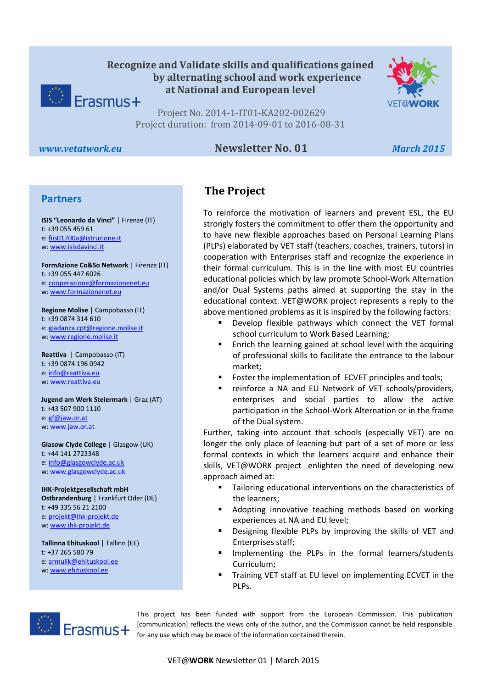



Project No. 2014-1-IT01-KA202-002629 Project duration: from 2014-09-01 to 2016-08-31

#### *www.vetatwork.eu* **Newsletter No. 01** *March 2015*

#### **Partners**

w[: www.isisdavinci.it](http://www.isisdavinci.it/) **ISIS "Leonardo da Vinci"** | Firenze (IT) t: +39 055 459 61 e[: fiis01700a@istruzione.it](mailto:fiis01700a@istruzione.it)

**FormAzione Co&So Network** | Firenze (IT) t: +39 055 447 6026 e[: cooperazione@formazionenet.eu](mailto:cooperazione@formazionenet.eu) w[: www.formazionenet.eu](http://www.formazionenet.eu/)

**Regione Molise** | Campobasso (IT) t: +39 0874 314 610 e[: giadanza.cpt@regione.molise.it](mailto:giadanza.cpt@regione.molise.it) w[: www.regione.molise.it](http://www.regione.molise.it/)

**Reattiva** | Campobasso (IT) t: +39 0874 196 0942 e[: info@reattiva.eu](mailto:info@reattiva.eu) w[: www.reattiva.eu](http://www.reattiva.eu/)

**Jugend am Werk Steiermark** | Graz (AT) t: +43 507 900 1110 e[: gf@jaw.or.at](mailto:gf@jaw.or.at) w[: www.jaw.or.at](http://www.jaw.or.at/)

**Glasow Clyde College** | Glasgow (UK) t: +44 141 2723348 e[: info@glasgowclyde.ac.uk](mailto:info@glasgowclyde.ac.uk) w[: www.glasgowclyde.ac.uk](http://www.glasgowclyde.ac.uk/) 

**IHK-Projektgesellschaft mbH Ostbrandenburg** | Frankfurt Oder (DE) t: +49 335 56 21 2100 e[: projekt@ihk-projekt.de](mailto:projekt@ihk-projekt.de) w[: www.ihk-projekt.de](http://www.ihk-projekt.de/)

**Tallinna Ehituskool** | Tallinn (EE) t: +37 265 580 79 e[: armulik@ehituskool.ee](mailto:armulik@ehituskool.ee) w[: www.ehituskool.ee](http://www.ehituskool.ee/)

## **The Project**

To reinforce the motivation of learners and prevent ESL, the EU strongly fosters the commitment to offer them the opportunity and to have new flexible approaches based on Personal Learning Plans (PLPs) elaborated by VET staff (teachers, coaches, trainers, tutors) in cooperation with Enterprises staff and recognize the experience in their formal curriculum. This is in the line with most EU countries educational policies which by law promote School-Work Alternation and/or Dual Systems paths aimed at supporting the stay in the educational context. VET@WORK project represents a reply to the above mentioned problems as it is inspired by the following factors:

- Develop flexible pathways which connect the VET formal school curriculum to Work Based Learning;
- Enrich the learning gained at school level with the acquiring of professional skills to facilitate the entrance to the labour market;
- **FICT** Foster the implementation of ECVET principles and tools;
- **F** reinforce a NA and EU Network of VET schools/providers, enterprises and social parties to allow the active participation in the School-Work Alternation or in the frame of the Dual system.

Further, taking into account that schools (especially VET) are no longer the only place of learning but part of a set of more or less formal contexts in which the learners acquire and enhance their skills, VET@WORK project enlighten the need of developing new approach aimed at:

- **Tailoring educational interventions on the characteristics of** the learners;
- Adopting innovative teaching methods based on working experiences at NA and EU level;
- Designing flexible PLPs by improving the skills of VET and Enterprises staff;
- Implementing the PLPs in the formal learners/students Curriculum;
- Training VET staff at EU level on implementing ECVET in the PLPs.



This project has been funded with support from the European Commission. This publication [communication] reflects the views only of the author, and the Commission cannot be held responsible for any use which may be made of the information contained therein.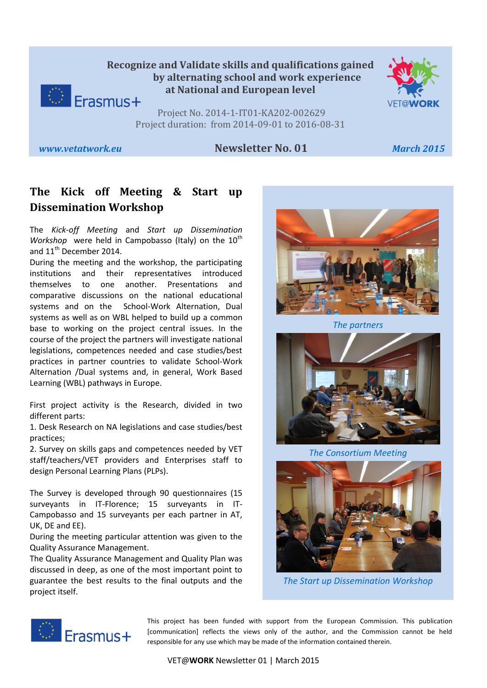## **Recognize and Validate skills and qualifications gained by alternating school and work experience at National and European level**  $\bigcirc$  Erasmus+



Project No. 2014-1-IT01-KA202-002629 Project duration: from 2014-09-01 to 2016-08-31

#### *www.vetatwork.eu* **Newsletter No. 01** *March 2015*

# **The Kick off Meeting & Start up Dissemination Workshop**

The *Kick-off Meeting* and *Start up Dissemination Workshop* were held in Campobasso (Italy) on the 10<sup>th</sup> and 11<sup>th</sup> December 2014.

During the meeting and the workshop, the participating institutions and their representatives introduced themselves to one another. Presentations and comparative discussions on the national educational systems and on the School-Work Alternation, Dual systems as well as on WBL helped to build up a common base to working on the project central issues. In the course of the project the partners will investigate national legislations, competences needed and case studies/best practices in partner countries to validate School-Work Alternation /Dual systems and, in general, Work Based Learning (WBL) pathways in Europe.

First project activity is the Research, divided in two different parts:

1. Desk Research on NA legislations and case studies/best practices;

2. Survey on skills gaps and competences needed by VET staff/teachers/VET providers and Enterprises staff to design Personal Learning Plans (PLPs).

The Survey is developed through 90 questionnaires (15 surveyants in IT-Florence; 15 surveyants in IT-Campobasso and 15 surveyants per each partner in AT, UK, DE and EE).

During the meeting particular attention was given to the Quality Assurance Management.

The Quality Assurance Management and Quality Plan was discussed in deep, as one of the most important point to guarantee the best results to the final outputs and the project itself.



*The partners*



*The Consortium Meeting*



*The Start up Dissemination Workshop*



This project has been funded with support from the European Commission. This publication [communication] reflects the views only of the author, and the Commission cannot be held responsible for any use which may be made of the information contained therein.